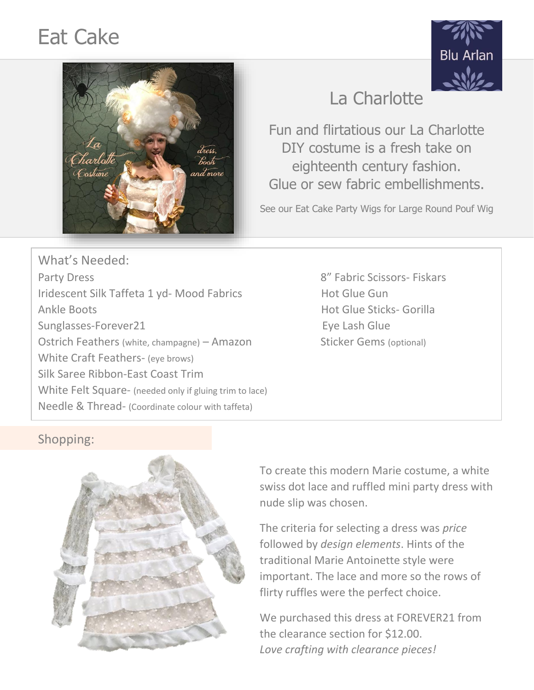# Eat Cake





## La Charlotte

Fun and flirtatious our La Charlotte DIY costume is a fresh take on eighteenth century fashion. Glue or sew fabric embellishments.

See our Eat Cake Party Wigs for Large Round Pouf Wig

What's Needed: Party Dress **Party Dress** 8" Fabric Scissors- Fiskars Iridescent Silk Taffeta 1 yd- Mood Fabrics Hot Glue Gun Ankle Boots **Hot Glue Sticks- Gorilla** Sunglasses-Forever21 extending the state of the Eye Lash Glue Ostrich Feathers (white, champagne) – Amazon Sticker Gems (optional) White Craft Feathers- (eye brows) Silk Saree Ribbon-East Coast Trim White Felt Square- (needed only if gluing trim to lace) Needle & Thread- (Coordinate colour with taffeta)

### Shopping:



To create this modern Marie costume, a white swiss dot lace and ruffled mini party dress with nude slip was chosen.

The criteria for selecting a dress was *price* followed by *design elements*. Hints of the traditional Marie Antoinette style were important. The lace and more so the rows of flirty ruffles were the perfect choice.

We purchased this dress at FOREVER21 from the clearance section for \$12.00. *Love crafting with clearance pieces!*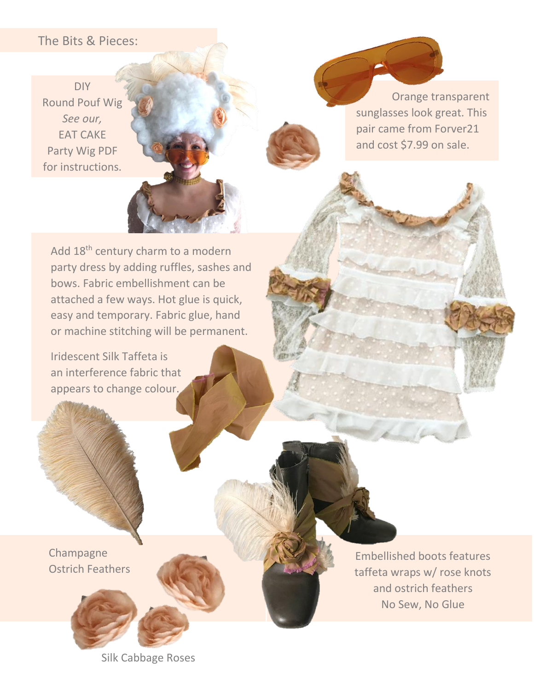#### The Bits & Pieces:

DIY Round Pouf Wig *See our,* EAT CAKE Party Wig PDF for instructions.

 Orange transparent sunglasses look great. This pair came from Forver21 and cost \$7.99 on sale.

Add 18<sup>th</sup> century charm to a modern party dress by adding ruffles, sashes and bows. Fabric embellishment can be attached a few ways. Hot glue is quick, easy and temporary. Fabric glue, hand or machine stitching will be permanent.

Iridescent Silk Taffeta is an interference fabric that appears to change colour.

Champagne Ostrich Feathers



Embellished boots features taffeta wraps w/ rose knots and ostrich feathers No Sew, No Glue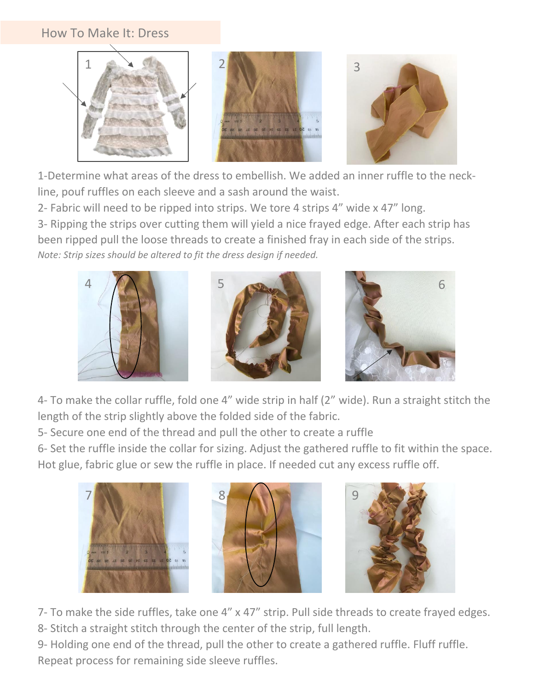#### How To Make It: Dress



1-Determine what areas of the dress to embellish. We added an inner ruffle to the neckline, pouf ruffles on each sleeve and a sash around the waist.

2- Fabric will need to be ripped into strips. We tore 4 strips 4" wide x 47" long.

3- Ripping the strips over cutting them will yield a nice frayed edge. After each strip has been ripped pull the loose threads to create a finished fray in each side of the strips. *Note: Strip sizes should be altered to fit the dress design if needed.*



4- To make the collar ruffle, fold one 4" wide strip in half (2" wide). Run a straight stitch the length of the strip slightly above the folded side of the fabric.

5- Secure one end of the thread and pull the other to create a ruffle

6- Set the ruffle inside the collar for sizing. Adjust the gathered ruffle to fit within the space. Hot glue, fabric glue or sew the ruffle in place. If needed cut any excess ruffle off.



7- To make the side ruffles, take one 4" x 47" strip. Pull side threads to create frayed edges.

8- Stitch a straight stitch through the center of the strip, full length.

9- Holding one end of the thread, pull the other to create a gathered ruffle. Fluff ruffle. Repeat process for remaining side sleeve ruffles.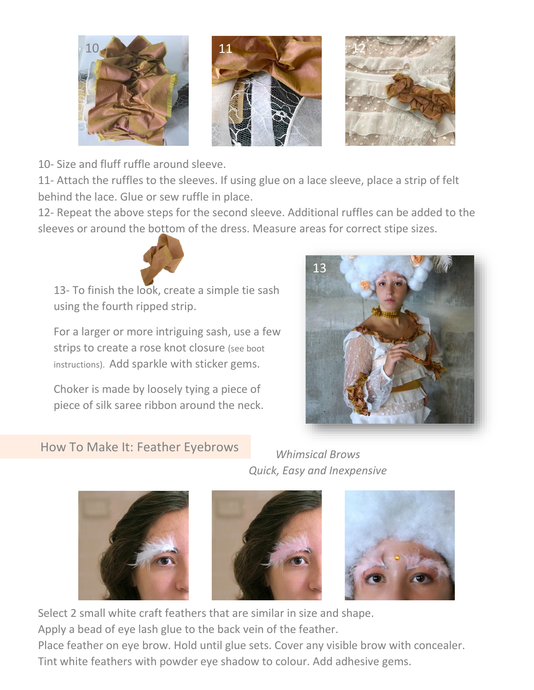

10- Size and fluff ruffle around sleeve.

11- Attach the ruffles to the sleeves. If using glue on a lace sleeve, place a strip of felt behind the lace. Glue or sew ruffle in place.

12- Repeat the above steps for the second sleeve. Additional ruffles can be added to the sleeves or around the bottom of the dress. Measure areas for correct stipe sizes.

13- To finish the look, create a simple tie sash using the fourth ripped strip.

For a larger or more intriguing sash, use a few strips to create a rose knot closure (see boot instructions). Add sparkle with sticker gems.

Choker is made by loosely tying a piece of piece of silk saree ribbon around the neck.



#### How To Make It: Feather Eyebrows

*Whimsical Brows Quick, Easy and Inexpensive*







Select 2 small white craft feathers that are similar in size and shape. Apply a bead of eye lash glue to the back vein of the feather.

Place feather on eye brow. Hold until glue sets. Cover any visible brow with concealer. Tint white feathers with powder eye shadow to colour. Add adhesive gems.